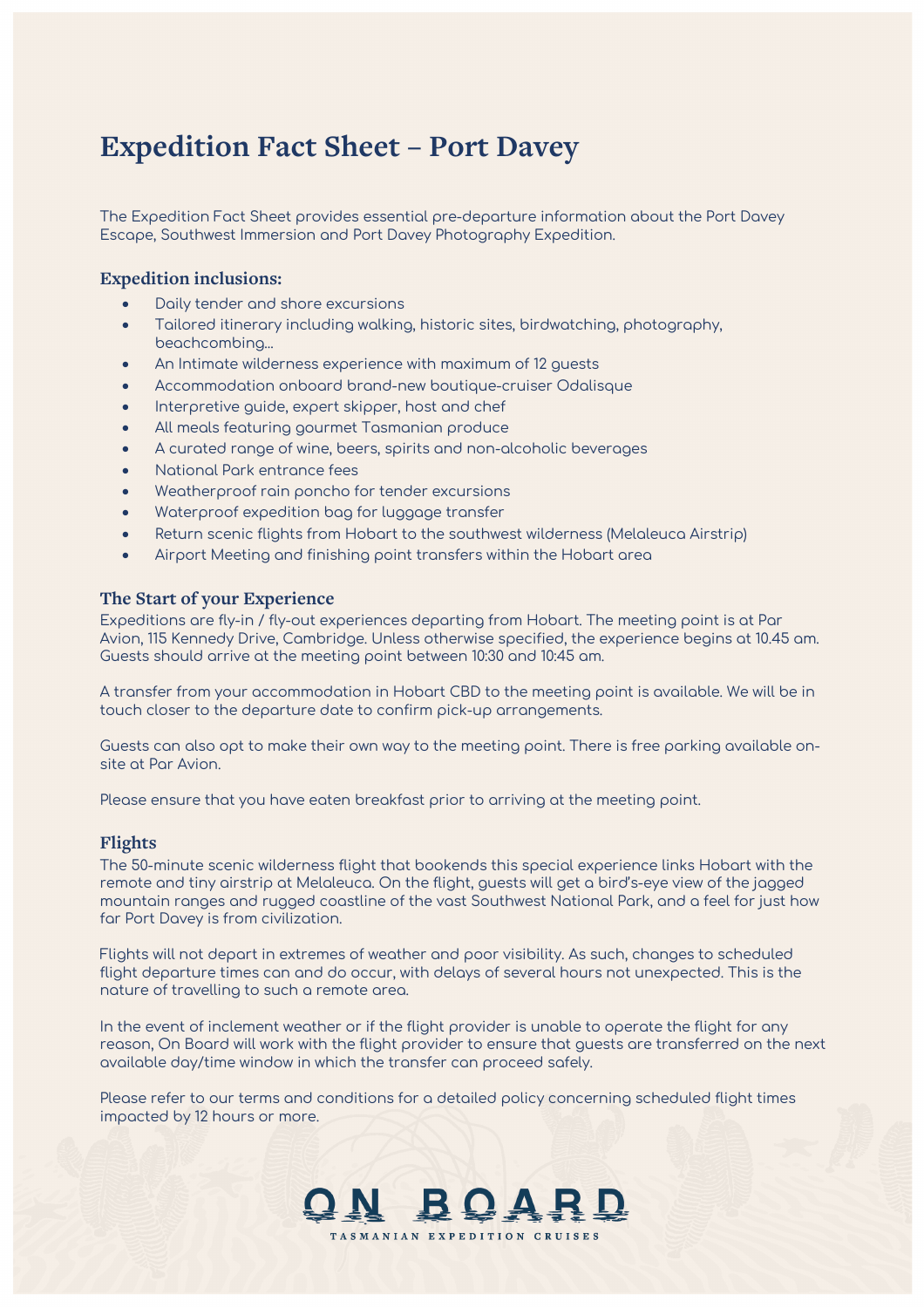# **Expedition Fact Sheet – Port Davey**

The Expedition Fact Sheet provides essential pre-departure information about the Port Davey Escape, Southwest Immersion and Port Davey Photography Expedition.

# **Expedition inclusions:**

- Daily tender and shore excursions
- Tailored itinerary including walking, historic sites, birdwatching, photography, beachcombing...
- An Intimate wilderness experience with maximum of 12 guests
- Accommodation onboard brand-new boutique-cruiser Odalisque
- Interpretive guide, expert skipper, host and chef
- All meals featuring gourmet Tasmanian produce
- A curated range of wine, beers, spirits and non-alcoholic beverages
- National Park entrance fees
- Weatherproof rain poncho for tender excursions
- Waterproof expedition bag for luggage transfer
- Return scenic flights from Hobart to the southwest wilderness (Melaleuca Airstrip)
- Airport Meeting and finishing point transfers within the Hobart area

#### **The Start of your Experience**

Expeditions are fly-in / fly-out experiences departing from Hobart. The meeting point is at Par Avion, 115 Kennedy Drive, Cambridge. Unless otherwise specified, the experience begins at 10.45 am. Guests should arrive at the meeting point between 10:30 and 10:45 am.

A transfer from your accommodation in Hobart CBD to the meeting point is available. We will be in touch closer to the departure date to confirm pick-up arrangements.

Guests can also opt to make their own way to the meeting point. There is free parking available onsite at Par Avion.

Please ensure that you have eaten breakfast prior to arriving at the meeting point.

# **Flights**

The 50-minute scenic wilderness flight that bookends this special experience links Hobart with the remote and tiny airstrip at Melaleuca. On the flight, guests will get a bird's-eye view of the jagged mountain ranges and rugged coastline of the vast Southwest National Park, and a feel for just how far Port Davey is from civilization.

Flights will not depart in extremes of weather and poor visibility. As such, changes to scheduled flight departure times can and do occur, with delays of several hours not unexpected. This is the nature of travelling to such a remote area.

In the event of inclement weather or if the flight provider is unable to operate the flight for any reason, On Board will work with the flight provider to ensure that guests are transferred on the next available day/time window in which the transfer can proceed safely.

Please refer to our terms and conditions for a detailed policy concerning scheduled flight times impacted by 12 hours or more.

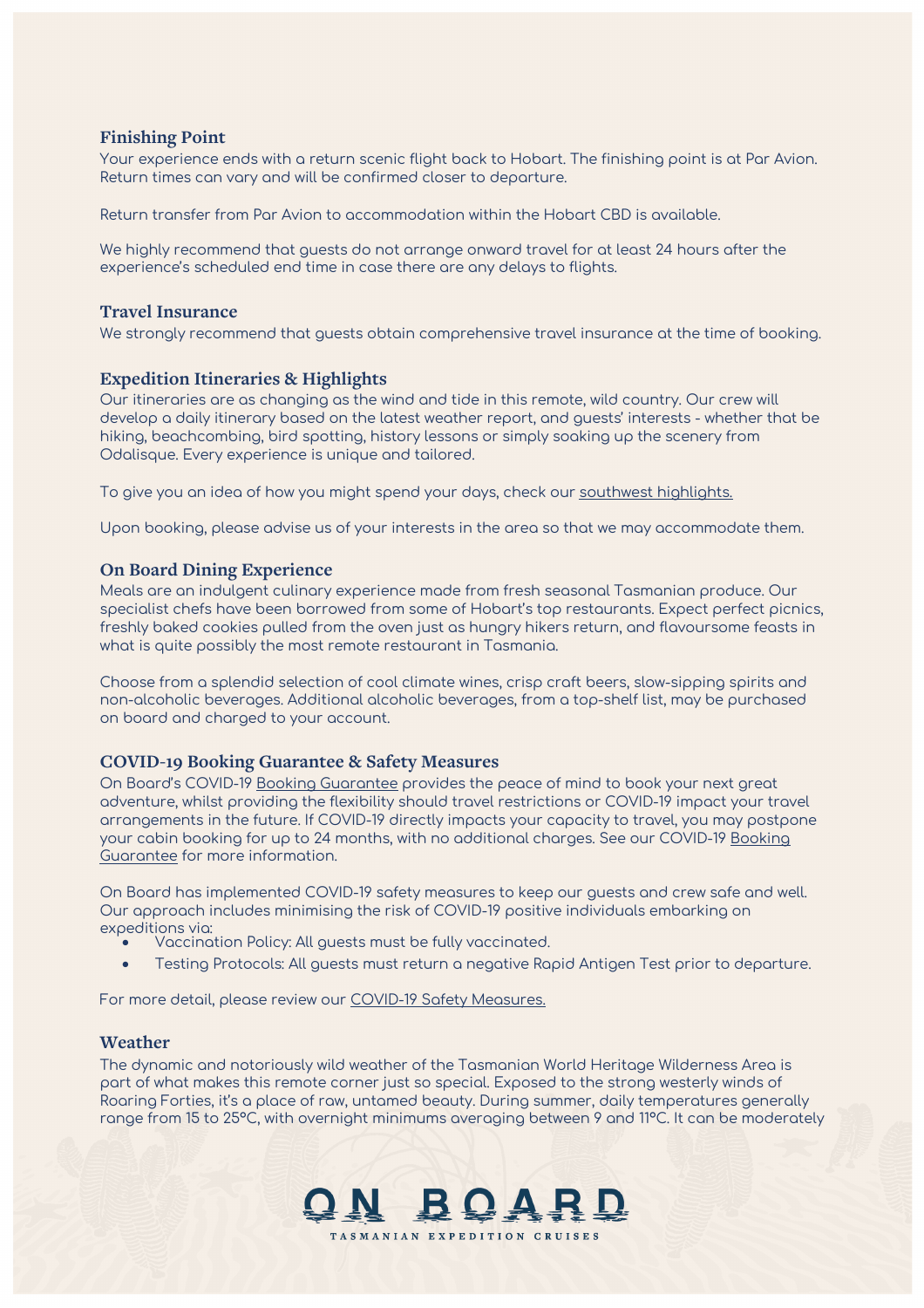# **Finishing Point**

Your experience ends with a return scenic flight back to Hobart. The finishing point is at Par Avion. Return times can vary and will be confirmed closer to departure.

Return transfer from Par Avion to accommodation within the Hobart CBD is available.

We highly recommend that guests do not arrange onward travel for at least 24 hours after the experience's scheduled end time in case there are any delays to flights.

#### **Travel Insurance**

We strongly recommend that guests obtain comprehensive travel insurance at the time of booking.

## **Expedition Itineraries & Highlights**

Our itineraries are as changing as the wind and tide in this remote, wild country. Our crew will develop a daily itinerary based on the latest weather report, and guests' interests - whether that be hiking, beachcombing, bird spotting, history lessons or simply soaking up the scenery from Odalisque. Every experience is unique and tailored.

To give you an idea of how you might spend your days, check our southwest [highlights.](https://onboardexpeditions.com.au/port-davey-the-south-west/)

Upon booking, please advise us of your interests in the area so that we may accommodate them.

#### **On Board Dining Experience**

Meals are an indulgent culinary experience made from fresh seasonal Tasmanian produce. Our specialist chefs have been borrowed from some of Hobart's top restaurants. Expect perfect picnics, freshly baked cookies pulled from the oven just as hungry hikers return, and flavoursome feasts in what is quite possibly the most remote restaurant in Tasmania.

Choose from a splendid selection of cool climate wines, crisp craft beers, slow-sipping spirits and non-alcoholic beverages. Additional alcoholic beverages, from a top-shelf list, may be purchased on board and charged to your account.

#### **COVID-19 Booking Guarantee & Safety Measures**

On Board's COVID-19 [Booking Guarantee](https://onboardexpeditions.com.au/terms-and-conditions/) provides the peace of mind to book your next great adventure, whilst providing the flexibility should travel restrictions or COVID-19 impact your travel arrangements in the future. If COVID-19 directly impacts your capacity to travel, you may postpone your cabin booking for up to 24 months, with no additional charges. See our COVID-19 [Booking](https://onboardexpeditions.com.au/terms-and-conditions/)  [Guarantee](https://onboardexpeditions.com.au/terms-and-conditions/) for more information.

On Board has implemented COVID-19 safety measures to keep our guests and crew safe and well. Our approach includes minimising the risk of COVID-19 positive individuals embarking on expeditions via:

- Vaccination Policy: All guests must be fully vaccinated.
- Testing Protocols: All guests must return a negative Rapid Antigen Test prior to departure.

For more detail, please review our [COVID-19 Safety Measures.](https://onboardexpeditions.com.au/frequently-asked-questions/)

#### **Weather**

The dynamic and notoriously wild weather of the Tasmanian World Heritage Wilderness Area is part of what makes this remote corner just so special. Exposed to the strong westerly winds of Roaring Forties, it's a place of raw, untamed beauty. During summer, daily temperatures generally range from 15 to 25°C, with overnight minimums averaging between 9 and 11°C. It can be moderately

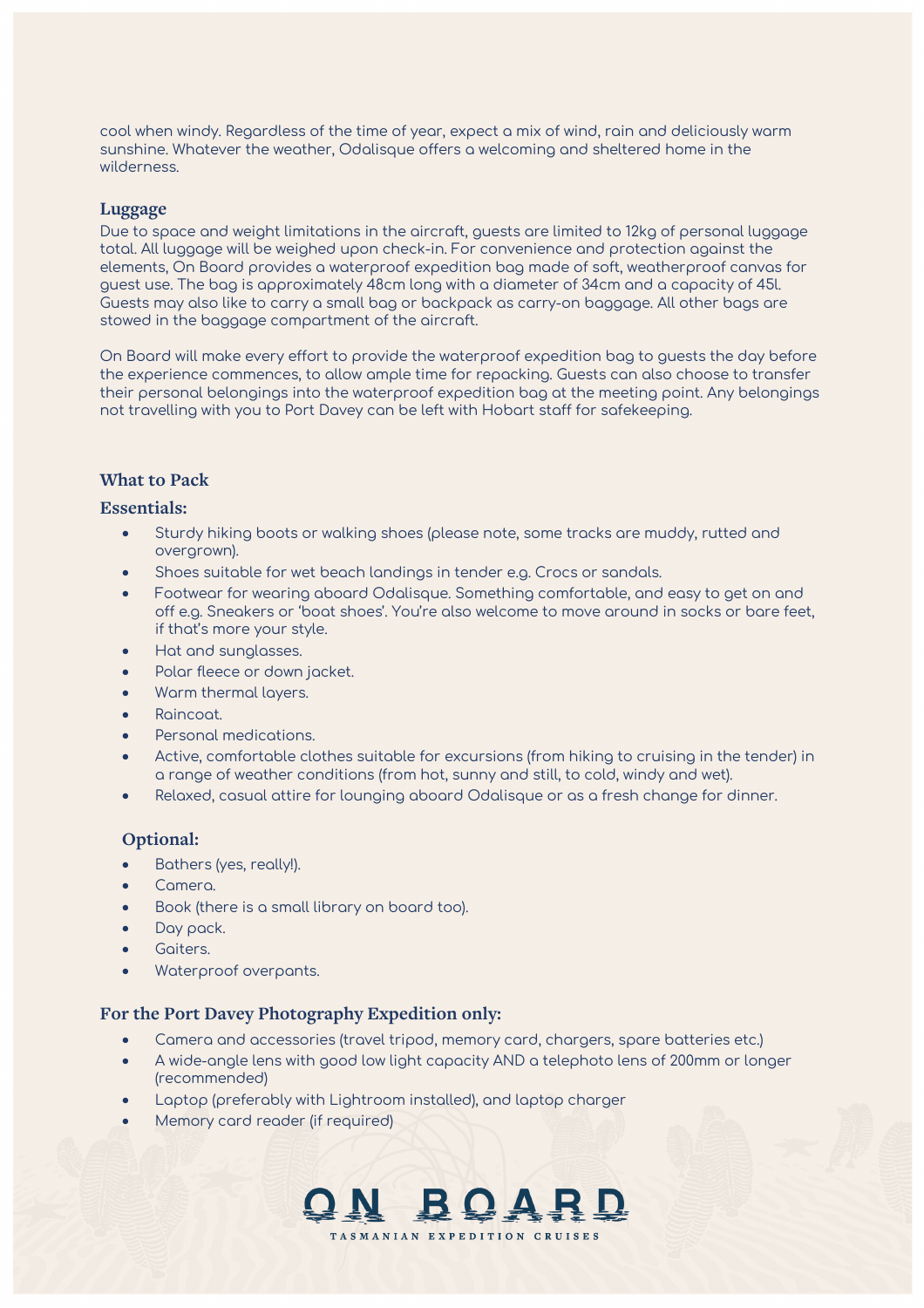cool when windy. Regardless of the time of year, expect a mix of wind, rain and deliciously warm sunshine. Whatever the weather, Odalisque offers a welcoming and sheltered home in the wilderness.

## **Luggage**

Due to space and weight limitations in the aircraft, guests are limited to 12kg of personal luggage total. All luggage will be weighed upon check-in. For convenience and protection against the elements, On Board provides a waterproof expedition bag made of soft, weatherproof canvas for guest use. The bag is approximately 48cm long with a diameter of 34cm and a capacity of 45l. Guests may also like to carry a small bag or backpack as carry-on baggage. All other bags are stowed in the baggage compartment of the aircraft.

On Board will make every effort to provide the waterproof expedition bag to guests the day before the experience commences, to allow ample time for repacking. Guests can also choose to transfer their personal belongings into the waterproof expedition bag at the meeting point. Any belongings not travelling with you to Port Davey can be left with Hobart staff for safekeeping.

## **What to Pack**

## **Essentials:**

- Sturdy hiking boots or walking shoes (please note, some tracks are muddy, rutted and overgrown).
- Shoes suitable for wet beach landings in tender e.g. Crocs or sandals.
- Footwear for wearing aboard Odalisque. Something comfortable, and easy to get on and off e.g. Sneakers or 'boat shoes'. You're also welcome to move around in socks or bare feet, if that's more your style.
- Hat and sunglasses.
- Polar fleece or down jacket.
- Warm thermal layers.
- Raincoat.
- Personal medications.
- Active, comfortable clothes suitable for excursions (from hiking to cruising in the tender) in a range of weather conditions (from hot, sunny and still, to cold, windy and wet).
- Relaxed, casual attire for lounging aboard Odalisque or as a fresh change for dinner.

# **Optional:**

- Bathers (yes, really!).
- Camera.
- Book (there is a small library on board too).
- Day pack.
- Goiters.
- Waterproof overpants.

## **For the Port Davey Photography Expedition only:**

- Camera and accessories (travel tripod, memory card, chargers, spare batteries etc.)
- A wide-angle lens with good low light capacity AND a telephoto lens of 200mm or longer (recommended)
- Laptop (preferably with Lightroom installed), and laptop charger
- Memory card reader (if required)